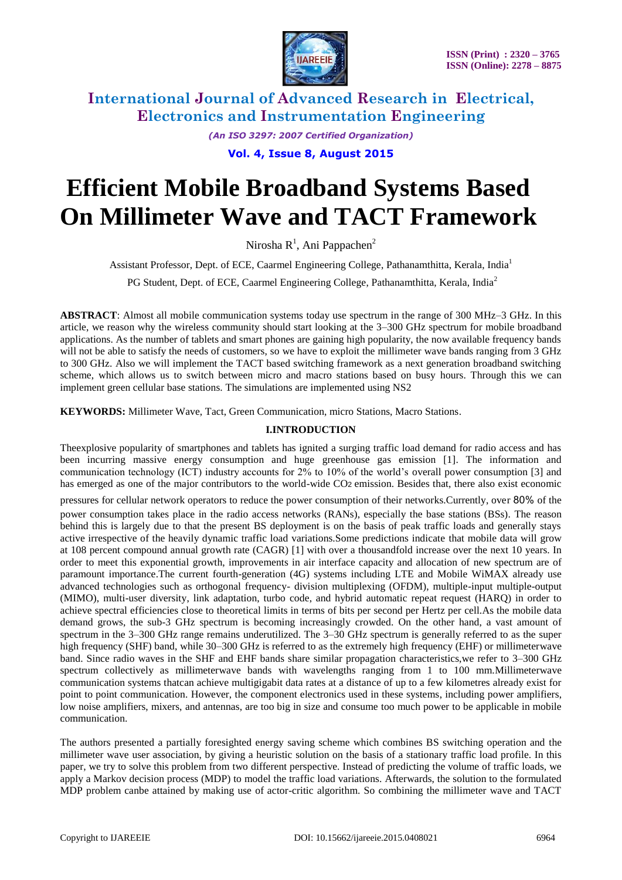

> *(An ISO 3297: 2007 Certified Organization)* **Vol. 4, Issue 8, August 2015**

# **Efficient Mobile Broadband Systems Based On Millimeter Wave and TACT Framework**

Nirosha R<sup>1</sup>, Ani Pappachen<sup>2</sup>

Assistant Professor, Dept. of ECE, Caarmel Engineering College, Pathanamthitta, Kerala, India<sup>1</sup>

PG Student, Dept. of ECE, Caarmel Engineering College, Pathanamthitta, Kerala, India<sup>2</sup>

**ABSTRACT**: Almost all mobile communication systems today use spectrum in the range of 300 MHz–3 GHz. In this article, we reason why the wireless community should start looking at the 3–300 GHz spectrum for mobile broadband applications. As the number of tablets and smart phones are gaining high popularity, the now available frequency bands will not be able to satisfy the needs of customers, so we have to exploit the millimeter wave bands ranging from 3 GHz to 300 GHz. Also we will implement the TACT based switching framework as a next generation broadband switching scheme, which allows us to switch between micro and macro stations based on busy hours. Through this we can implement green cellular base stations. The simulations are implemented using NS2

**KEYWORDS:** Millimeter Wave, Tact, Green Communication, micro Stations, Macro Stations.

### **I.INTRODUCTION**

Theexplosive popularity of smartphones and tablets has ignited a surging traffic load demand for radio access and has been incurring massive energy consumption and huge greenhouse gas emission [1]. The information and communication technology (ICT) industry accounts for 2% to 10% of the world's overall power consumption [3] and has emerged as one of the major contributors to the world-wide CO2 emission. Besides that, there also exist economic

pressures for cellular network operators to reduce the power consumption of their networks.Currently, over 80% of the

power consumption takes place in the radio access networks (RANs), especially the base stations (BSs). The reason behind this is largely due to that the present BS deployment is on the basis of peak traffic loads and generally stays active irrespective of the heavily dynamic traffic load variations.Some predictions indicate that mobile data will grow at 108 percent compound annual growth rate (CAGR) [1] with over a thousandfold increase over the next 10 years. In order to meet this exponential growth, improvements in air interface capacity and allocation of new spectrum are of paramount importance.The current fourth-generation (4G) systems including LTE and Mobile WiMAX already use advanced technologies such as orthogonal frequency- division multiplexing (OFDM), multiple-input multiple-output (MIMO), multi-user diversity, link adaptation, turbo code, and hybrid automatic repeat request (HARQ) in order to achieve spectral efficiencies close to theoretical limits in terms of bits per second per Hertz per cell.As the mobile data demand grows, the sub-3 GHz spectrum is becoming increasingly crowded. On the other hand, a vast amount of spectrum in the 3–300 GHz range remains underutilized. The 3–30 GHz spectrum is generally referred to as the super high frequency (SHF) band, while 30–300 GHz is referred to as the extremely high frequency (EHF) or millimeterwave band. Since radio waves in the SHF and EHF bands share similar propagation characteristics,we refer to 3–300 GHz spectrum collectively as millimeterwave bands with wavelengths ranging from 1 to 100 mm.Millimeterwave communication systems thatcan achieve multigigabit data rates at a distance of up to a few kilometres already exist for point to point communication. However, the component electronics used in these systems, including power amplifiers, low noise amplifiers, mixers, and antennas, are too big in size and consume too much power to be applicable in mobile communication.

The authors presented a partially foresighted energy saving scheme which combines BS switching operation and the millimeter wave user association, by giving a heuristic solution on the basis of a stationary traffic load profile. In this paper, we try to solve this problem from two different perspective. Instead of predicting the volume of traffic loads, we apply a Markov decision process (MDP) to model the traffic load variations. Afterwards, the solution to the formulated MDP problem canbe attained by making use of actor-critic algorithm. So combining the millimeter wave and TACT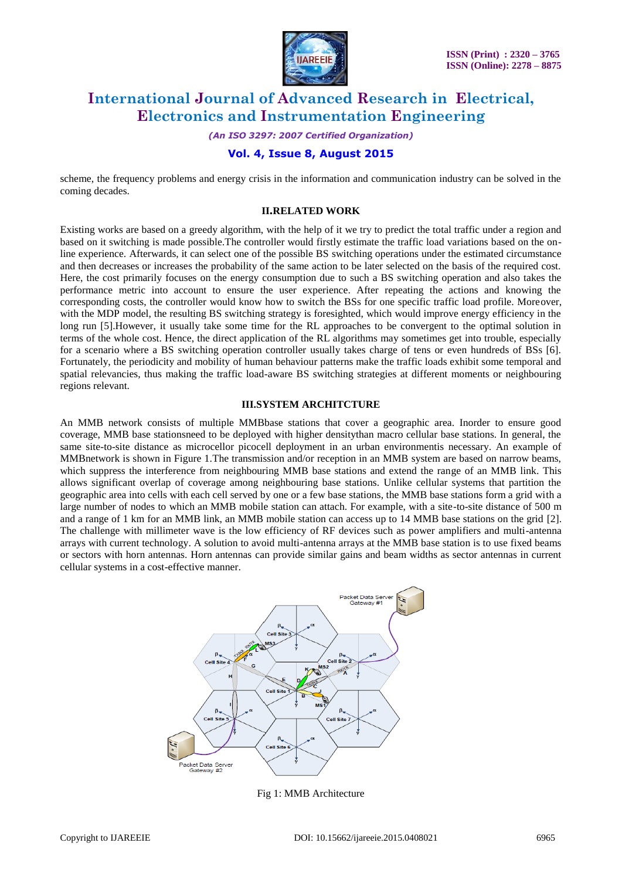

*(An ISO 3297: 2007 Certified Organization)*

## **Vol. 4, Issue 8, August 2015**

scheme, the frequency problems and energy crisis in the information and communication industry can be solved in the coming decades.

#### **II.RELATED WORK**

Existing works are based on a greedy algorithm, with the help of it we try to predict the total traffic under a region and based on it switching is made possible.The controller would firstly estimate the traffic load variations based on the online experience. Afterwards, it can select one of the possible BS switching operations under the estimated circumstance and then decreases or increases the probability of the same action to be later selected on the basis of the required cost. Here, the cost primarily focuses on the energy consumption due to such a BS switching operation and also takes the performance metric into account to ensure the user experience. After repeating the actions and knowing the corresponding costs, the controller would know how to switch the BSs for one specific traffic load profile. Moreover, with the MDP model, the resulting BS switching strategy is foresighted, which would improve energy efficiency in the long run [5].However, it usually take some time for the RL approaches to be convergent to the optimal solution in terms of the whole cost. Hence, the direct application of the RL algorithms may sometimes get into trouble, especially for a scenario where a BS switching operation controller usually takes charge of tens or even hundreds of BSs [6]. Fortunately, the periodicity and mobility of human behaviour patterns make the traffic loads exhibit some temporal and spatial relevancies, thus making the traffic load-aware BS switching strategies at different moments or neighbouring regions relevant.

#### **III.SYSTEM ARCHITCTURE**

An MMB network consists of multiple MMBbase stations that cover a geographic area. Inorder to ensure good coverage, MMB base stationsneed to be deployed with higher densitythan macro cellular base stations. In general, the same site-to-site distance as microcellor picocell deployment in an urban environmentis necessary. An example of MMBnetwork is shown in Figure 1.The transmission and/or reception in an MMB system are based on narrow beams, which suppress the interference from neighbouring MMB base stations and extend the range of an MMB link. This allows significant overlap of coverage among neighbouring base stations. Unlike cellular systems that partition the geographic area into cells with each cell served by one or a few base stations, the MMB base stations form a grid with a large number of nodes to which an MMB mobile station can attach. For example, with a site-to-site distance of 500 m and a range of 1 km for an MMB link, an MMB mobile station can access up to 14 MMB base stations on the grid [2]. The challenge with millimeter wave is the low efficiency of RF devices such as power amplifiers and multi-antenna arrays with current technology. A solution to avoid multi-antenna arrays at the MMB base station is to use fixed beams or sectors with horn antennas. Horn antennas can provide similar gains and beam widths as sector antennas in current cellular systems in a cost-effective manner.



Fig 1: MMB Architecture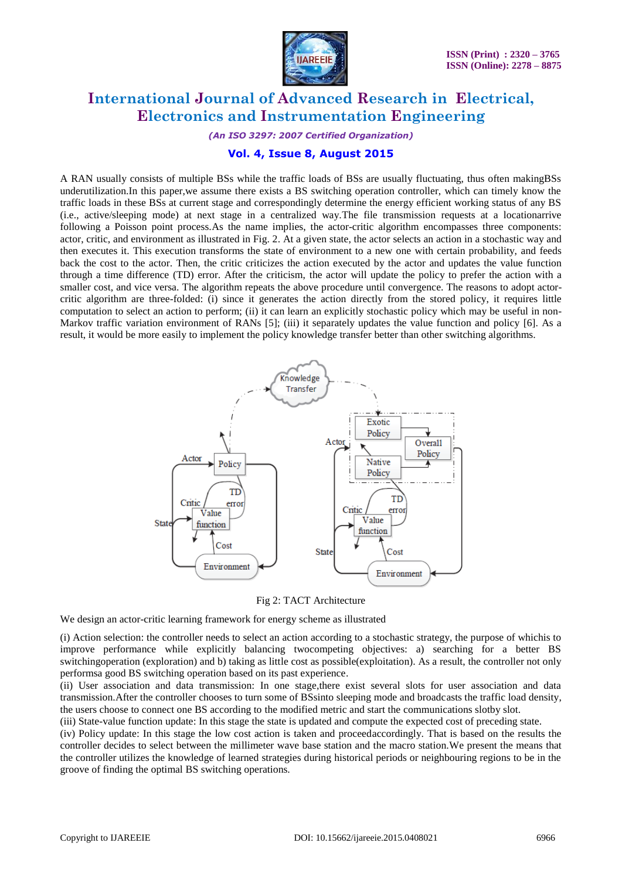

*(An ISO 3297: 2007 Certified Organization)*

## **Vol. 4, Issue 8, August 2015**

A RAN usually consists of multiple BSs while the traffic loads of BSs are usually fluctuating, thus often makingBSs underutilization.In this paper,we assume there exists a BS switching operation controller, which can timely know the traffic loads in these BSs at current stage and correspondingly determine the energy efficient working status of any BS (i.e., active/sleeping mode) at next stage in a centralized way.The file transmission requests at a locationarrive following a Poisson point process.As the name implies, the actor-critic algorithm encompasses three components: actor, critic, and environment as illustrated in Fig. 2. At a given state, the actor selects an action in a stochastic way and then executes it. This execution transforms the state of environment to a new one with certain probability, and feeds back the cost to the actor. Then, the critic criticizes the action executed by the actor and updates the value function through a time difference (TD) error. After the criticism, the actor will update the policy to prefer the action with a smaller cost, and vice versa. The algorithm repeats the above procedure until convergence. The reasons to adopt actorcritic algorithm are three-folded: (i) since it generates the action directly from the stored policy, it requires little computation to select an action to perform; (ii) it can learn an explicitly stochastic policy which may be useful in non-Markov traffic variation environment of RANs [5]; (iii) it separately updates the value function and policy [6]. As a result, it would be more easily to implement the policy knowledge transfer better than other switching algorithms.



Fig 2: TACT Architecture

We design an actor-critic learning framework for energy scheme as illustrated

(i) Action selection: the controller needs to select an action according to a stochastic strategy, the purpose of whichis to improve performance while explicitly balancing twocompeting objectives: a) searching for a better BS switchingoperation (exploration) and b) taking as little cost as possible(exploitation). As a result, the controller not only performsa good BS switching operation based on its past experience.

(ii) User association and data transmission: In one stage,there exist several slots for user association and data transmission.After the controller chooses to turn some of BSsinto sleeping mode and broadcasts the traffic load density, the users choose to connect one BS according to the modified metric and start the communications slotby slot.

(iii) State-value function update: In this stage the state is updated and compute the expected cost of preceding state.

(iv) Policy update: In this stage the low cost action is taken and proceedaccordingly. That is based on the results the controller decides to select between the millimeter wave base station and the macro station.We present the means that the controller utilizes the knowledge of learned strategies during historical periods or neighbouring regions to be in the groove of finding the optimal BS switching operations.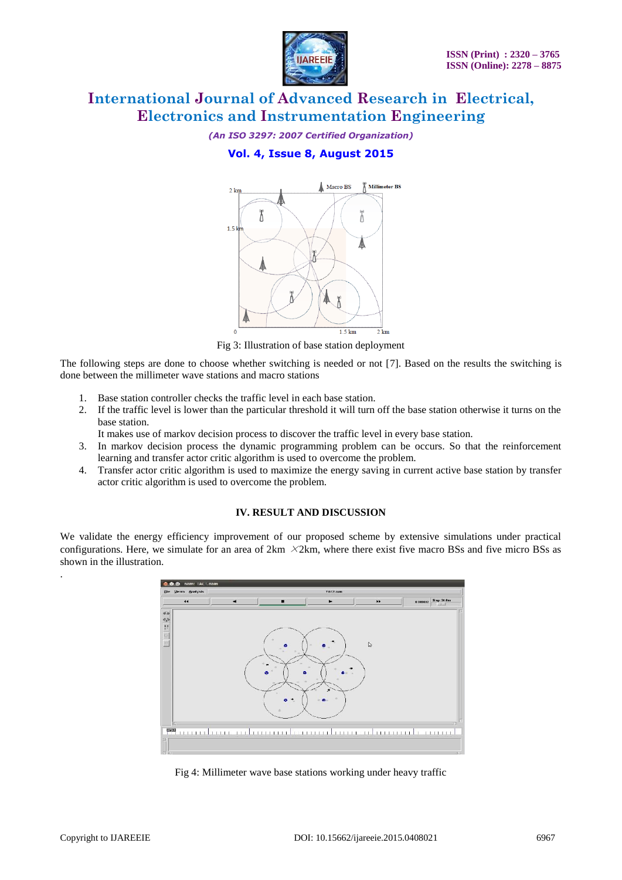

*(An ISO 3297: 2007 Certified Organization)*

# **Vol. 4, Issue 8, August 2015**



Fig 3: Illustration of base station deployment

The following steps are done to choose whether switching is needed or not [7]. Based on the results the switching is done between the millimeter wave stations and macro stations

- 1. Base station controller checks the traffic level in each base station.
- 2. If the traffic level is lower than the particular threshold it will turn off the base station otherwise it turns on the base station.

It makes use of markov decision process to discover the traffic level in every base station.

- 3. In markov decision process the dynamic programming problem can be occurs. So that the reinforcement learning and transfer actor critic algorithm is used to overcome the problem.
- 4. Transfer actor critic algorithm is used to maximize the energy saving in current active base station by transfer actor critic algorithm is used to overcome the problem.

## **IV. RESULT AND DISCUSSION**

We validate the energy efficiency improvement of our proposed scheme by extensive simulations under practical configurations. Here, we simulate for an area of  $2km \times 2km$ , where there exist five macro BSs and five micro BSs as shown in the illustration.



Fig 4: Millimeter wave base stations working under heavy traffic

.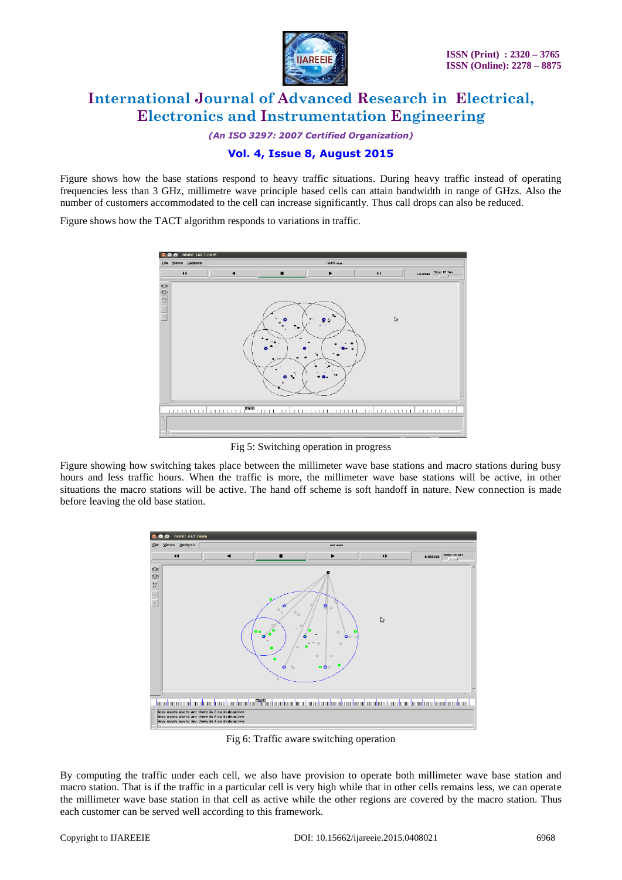

*(An ISO 3297: 2007 Certified Organization)*

## **Vol. 4, Issue 8, August 2015**

Figure shows how the base stations respond to heavy traffic situations. During heavy traffic instead of operating frequencies less than 3 GHz, millimetre wave principle based cells can attain bandwidth in range of GHzs. Also the number of customers accommodated to the cell can increase significantly. Thus call drops can also be reduced.

Figure shows how the TACT algorithm responds to variations in traffic.



Fig 5: Switching operation in progress

Figure showing how switching takes place between the millimeter wave base stations and macro stations during busy hours and less traffic hours. When the traffic is more, the millimeter wave base stations will be active, in other situations the macro stations will be active. The hand off scheme is soft handoff in nature. New connection is made before leaving the old base station.



Fig 6: Traffic aware switching operation

By computing the traffic under each cell, we also have provision to operate both millimeter wave base station and macro station. That is if the traffic in a particular cell is very high while that in other cells remains less, we can operate the millimeter wave base station in that cell as active while the other regions are covered by the macro station. Thus each customer can be served well according to this framework.